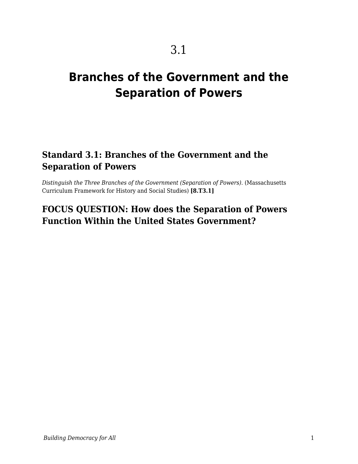# **Branches of the Government and the Separation of Powers**

## **Standard 3.1: Branches of the Government and the Separation of Powers**

*Distinguish the Three Branches of the Government (Separation of Powers).* (Massachusetts Curriculum Framework for History and Social Studies) **[8.T3.1]**

## **FOCUS QUESTION: How does the Separation of Powers Function Within the United States Government?**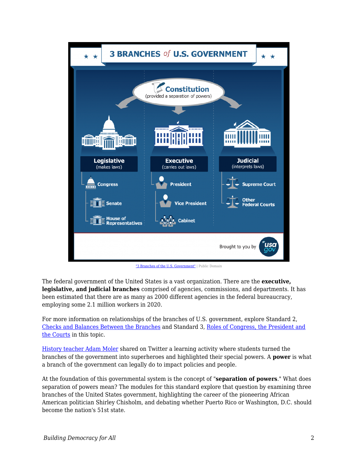

["3 Branches of the U.S. Government"](https://www.usa.gov/branches-of-government) | Public Domain

The federal government of the United States is a vast organization. There are the **executive, legislative, and judicial branches** comprised of agencies, commissions, and departments. It has been estimated that there are as many as 2000 different agencies in the federal bureaucracy, employing some 2.1 million workers in 2020.

For more information on relationships of the branches of U.S. government, explore Standard 2, [Checks and Balances Between the Branches](https://edtechbooks.org/democracy/relationship) and Standard 3, [Roles of Congress, the President and](https://edtechbooks.org/democracy/roles) [the Courts](https://edtechbooks.org/democracy/roles) in this topic.

[History teacher Adam Moler](https://twitter.com/moler3031/status/1470479674828546048?s=11) shared on Twitter a learning activity where students turned the branches of the government into superheroes and highlighted their special powers. A **power** is what a branch of the government can legally do to impact policies and people.

At the foundation of this governmental system is the concept of "**separation of powers**." What does separation of powers mean? The modules for this standard explore that question by examining three branches of the United States government, highlighting the career of the pioneering African American politician Shirley Chisholm, and debating whether Puerto Rico or Washington, D.C. should become the nation's 51st state.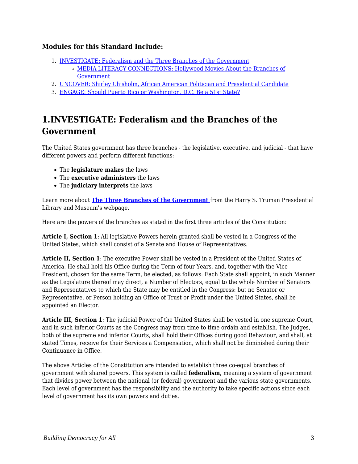### **Modules for this Standard Include:**

- 1. [INVESTIGATE: Federalism and the Three Branches of the Government](https://edtechbooks.org/democracy/branchesofgov#h2_UMSxW)
	- [MEDIA LITERACY CONNECTIONS: Hollywood Movies About the Branches of](https://edtechbooks.org/democracy/branchesofgov#h3_WNZA) **[Government](https://edtechbooks.org/democracy/branchesofgov#h3_WNZA)**
- 2. [UNCOVER: Shirley Chisholm, African American Politician and Presidential Candidate](https://edtechbooks.org/democracy/branchesofgov#h2_ZKNBz)
- 3. [ENGAGE: Should Puerto Rico or Washington, D.C. Be a 51st State?](https://edtechbooks.org/democracy/branchesofgov#h2_HyKHX)

# **1.INVESTIGATE: Federalism and the Branches of the Government**

The United States government has three branches - the legislative, executive, and judicial - that have different powers and perform different functions:

- The **legislature makes** the laws
- The **executive administers** the laws
- The **judiciary interprets** the laws

Learn more about **[The Three Branches of the Government](https://trumanlibrary.org/whistlestop/teacher_lessons/3branches/1.htm)** from the Harry S. Truman Presidential Library and Museum's webpage.

Here are the powers of the branches as stated in the first three articles of the Constitution:

**Article I, Section 1**: All legislative Powers herein granted shall be vested in a Congress of the United States, which shall consist of a Senate and House of Representatives.

**Article II, Section 1**: The executive Power shall be vested in a President of the United States of America. He shall hold his Office during the Term of four Years, and, together with the Vice President, chosen for the same Term, be elected, as follows: Each State shall appoint, in such Manner as the Legislature thereof may direct, a Number of Electors, equal to the whole Number of Senators and Representatives to which the State may be entitled in the Congress: but no Senator or Representative, or Person holding an Office of Trust or Profit under the United States, shall be appointed an Elector.

**Article III, Section 1**: The judicial Power of the United States shall be vested in one supreme Court, and in such inferior Courts as the Congress may from time to time ordain and establish. The Judges, both of the supreme and inferior Courts, shall hold their Offices during good Behaviour, and shall, at stated Times, receive for their Services a Compensation, which shall not be diminished during their Continuance in Office.

The above Articles of the Constitution are intended to establish three co-equal branches of government with shared powers. This system is called **federalism,** meaning a system of government that divides power between the national (or federal) government and the various state governments. Each level of government has the responsibility and the authority to take specific actions since each level of government has its own powers and duties.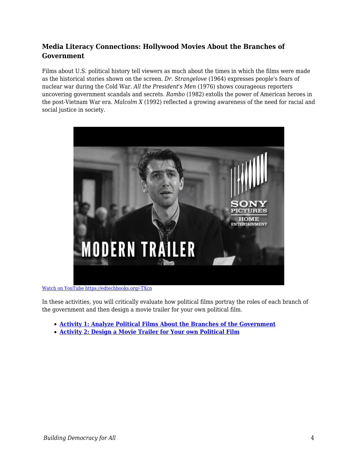### **Media Literacy Connections: Hollywood Movies About the Branches of Government**

Films about U.S. political history tell viewers as much about the times in which the films were made as the historical stories shown on the screen. *Dr. Strangelove* (1964) expresses people's fears of nuclear war during the Cold War. *All the President's Men* (1976) shows courageous reporters uncovering government scandals and secrets. *Rambo* (1982) extolls the power of American heroes in the post-Vietnam War era. *Malcolm X* (1992) reflected a growing awareness of the need for racial and social justice in society.



#### [Watch on YouTube https://edtechbooks.org/-TXcn](https://www.youtube.com/embed/bXoF7w6IWAc?autoplay=1&rel=0&showinfo=0&modestbranding=1)

In these activities, you will critically evaluate how political films portray the roles of each branch of the government and then design a movie trailer for your own political film.

- **[Activity 1: Analyze Political Films About the Branches of the Government](https://edtechbooks.org/mediaandciviclearning/political_films)**
- **[Activity 2: Design a Movie Trailer for Your own Political Film](https://edtechbooks.org/mediaandciviclearning/political_films)**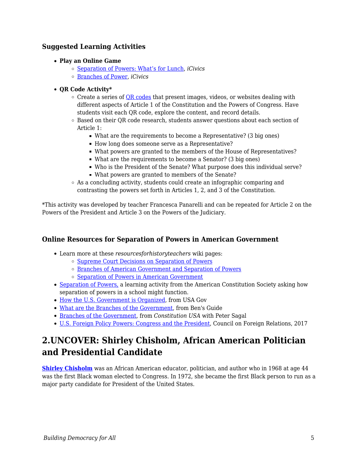### **Suggested Learning Activities**

- **Play an Online Game**
	- [Separation of Powers: What's for Lunch](https://www.icivics.org/teachers/lesson-plans/separation-powers-whats-lunch), *iCivics*
	- [Branches of Power](https://www.icivics.org/node/74/resource), *iCivics*

#### **QR Code Activity\***

- $\circ$  Create a series of [QR codes](https://www.qr-code-generator.com/) that present images, videos, or websites dealing with different aspects of Article 1 of the Constitution and the Powers of Congress. Have students visit each QR code, explore the content, and record details.
- $\circ$  Based on their QR code research, students answer questions about each section of Article 1:
	- What are the requirements to become a Representative? (3 big ones)
	- How long does someone serve as a Representative?
	- What powers are granted to the members of the House of Representatives?
	- What are the requirements to become a Senator? (3 big ones)
	- Who is the President of the Senate? What purpose does this individual serve? What powers are granted to members of the Senate?
- $\circ$  As a concluding activity, students could create an infographic comparing and contrasting the powers set forth in Articles 1, 2, and 3 of the Constitution.

\*This activity was developed by teacher Francesca Panarelli and can be repeated for Article 2 on the Powers of the President and Article 3 on the Powers of the Judiciary.

#### **Online Resources for Separation of Powers in American Government**

- Learn more at these *resourcesforhistoryteachers* wiki pages:
	- o [Supreme Court Decisions on Separation of Powers](http://resourcesforhistoryteachers.pbworks.com/w/page/125622359/Supreme%20Court%20Decisions%20on%20Separation%20of%20Powers)
	- [Branches of American Government and Separation of Powers](http://resourcesforhistoryteachers.pbworks.com/w/page/125619248/Branches%20of%20American%20Government%20and%20the%20Separation%20of%20Powers)
	- o [Separation of Powers in American Government](http://resourcesforhistoryteachers.pbworks.com/w/page/125621699/Separation%20of%20Powers%20in%20American%20Government)
- [Separation of Powers,](https://www.acslaw.org/wp-content/uploads/2018/08/Elementary-School-Lesson-on-the-Separation-of-Powers.pdf) a learning activity from the American Constitution Society asking how separation of powers in a school might function.
- [How the U.S. Government is Organized,](https://www.usa.gov/branches-of-government) from USA Gov
- [What are the Branches of the Government,](https://bensguide.gpo.gov/a-what-are-branches) from Ben's Guide
- [Branches of the Government](https://www.pbs.org/tpt/constitution-usa-peter-sagal/constitution-games/branches-power/), from *Constitution USA* with Peter Sagal
- [U.S. Foreign Policy Powers: Congress and the President,](https://www.cfr.org/backgrounder/us-foreign-policy-powers-congress-and-president) Council on Foreign Relations, 2017

# **2.UNCOVER: Shirley Chisholm, African American Politician and Presidential Candidate**

**[Shirley Chisholm](https://www.womenshistory.org/education-resources/biographies/shirley-chisholm)** was an African American educator, politician, and author who in 1968 at age 44 was the first Black woman elected to Congress. In 1972, she became the first Black person to run as a major party candidate for President of the United States.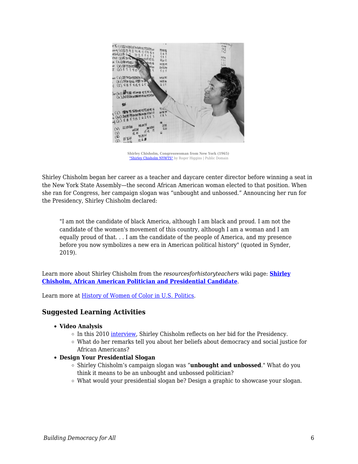

**Shirley Chisholm, Congresswoman from New York (1965)**  ["Shirley Chisholm NYWTS"](https://commons.wikimedia.org/wiki/File:Shirley_Chisholm_NYWTS.jpg) by Roger Higgins | Public Domain

Shirley Chisholm began her career as a teacher and daycare center director before winning a seat in the New York State Assembly—the second African American woman elected to that position. When she ran for Congress, her campaign slogan was "unbought and unbossed." Announcing her run for the Presidency, Shirley Chisholm declared:

"I am not the candidate of black America, although I am black and proud. I am not the candidate of the women's movement of this country, although I am a woman and I am equally proud of that. . . I am the candidate of the people of America, and my presence before you now symbolizes a new era in American political history" (quoted in Synder, 2019).

Learn more about Shirley Chisholm from the *resourcesforhistoryteachers* wiki page: **[Shirley](http://resourcesforhistoryteachers.pbworks.com/w/page/125464181/Shirley%20Chisholm%2C%20African%20American%20Politican%20and%20Presidential%20Candidate) [Chisholm, African American Politician and Presidential Candidate](http://resourcesforhistoryteachers.pbworks.com/w/page/125464181/Shirley%20Chisholm%2C%20African%20American%20Politican%20and%20Presidential%20Candidate)**.

Learn more at [History of Women of Color in U.S. Politics.](https://cawp.rutgers.edu/history-women-color-us-politics)

#### **Suggested Learning Activities**

- **Video Analysis**
	- $\circ$  In this 2010 [interview,](https://www.youtube.com/watch?v=qB_krfRLSVM) Shirley Chisholm reflects on her bid for the Presidency.
	- What do her remarks tell you about her beliefs about democracy and social justice for African Americans?
- **Design Your Presidential Slogan**
	- Shirley Chisholm's campaign slogan was "**unbought and unbossed**." What do you think it means to be an unbought and unbossed politician?
	- $\circ$  What would your presidential slogan be? Design a graphic to showcase your slogan.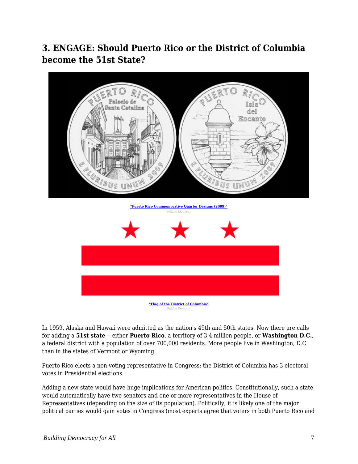# **3. ENGAGE: Should Puerto Rico or the District of Columbia become the 51st State?**



In 1959, Alaska and Hawaii were admitted as the nation's 49th and 50th states. Now there are calls for adding a **51st state**— either **Puerto Rico**, a territory of 3.4 million people, or **Washington D.C.**, a federal district with a population of over 700,000 residents. More people live in Washington, D.C. than in the states of Vermont or Wyoming.

Puerto Rico elects a non-voting representative in Congress; the District of Columbia has 3 electoral votes in Presidential elections.

Adding a new state would have huge implications for American politics. Constitutionally, such a state would automatically have two senators and one or more representatives in the House of Representatives (depending on the size of its population). Politically, it is likely one of the major political parties would gain votes in Congress (most experts agree that voters in both Puerto Rico and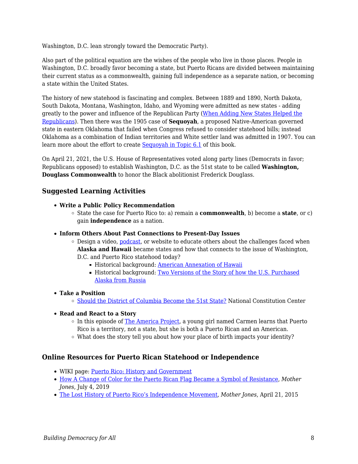Washington, D.C. lean strongly toward the Democratic Party).

Also part of the political equation are the wishes of the people who live in those places. People in Washington, D.C. broadly favor becoming a state, but Puerto Ricans are divided between maintaining their current status as a commonwealth, gaining full independence as a separate nation, or becoming a state within the United States.

The history of new statehood is fascinating and complex. Between 1889 and 1890, North Dakota, South Dakota, Montana, Washington, Idaho, and Wyoming were admitted as new states - adding greatly to the power and influence of the Republican Party [\(When Adding New States Helped the](https://www.theatlantic.com/ideas/archive/2019/09/when-adding-new-states-helped-republicans/598243/) [Republicans\)](https://www.theatlantic.com/ideas/archive/2019/09/when-adding-new-states-helped-republicans/598243/). Then there was the 1905 case of **Sequoyah**, a proposed Native-American governed state in eastern Oklahoma that failed when Congress refused to consider statehood bills; instead Oklahoma as a combination of Indian territories and White settler land was admitted in 1907. You can learn more about the effort to create [Sequoyah in Topic 6.1](https://edtechbooks.org/democracy/functionsofstate#h2_bDhmx) of this book.

On April 21, 2021, the U.S. House of Representatives voted along party lines (Democrats in favor; Republicans opposed) to establish Washington, D.C. as the 51st state to be called **Washington, Douglass Commonwealth** to honor the Black abolitionist Frederick Douglass.

#### **Suggested Learning Activities**

- **Write a Public Policy Recommendation**
	- State the case for Puerto Rico to: a) remain a **commonwealth**, b) become a **state**, or c) gain **independence** as a nation.
- **Inform Others About Past Connections to Present-Day Issues** 
	- $\circ$  Design a video, [podcast](https://docs.google.com/document/d/1YMVhXBhqUU4qDBLO1jYNpMG0IzAl_YLSJ3OndOm6C6k/edit?usp=sharing), or website to educate others about the challenges faced when **Alaska and Hawaii** became states and how that connects to the issue of Washington,
		- D.C. and Puerto Rico statehood today?
			- **Historical background: [American Annexation of Hawaii](https://edtechbooks.org/democracy/conflict#h2_bIbPr)**
			- Historical background: [Two Versions of the Story of how the U.S. Purchased](https://www.smithsonianmag.com/history/why-russia-gave-alaska-americas-gateway-arctic-180962714/) [Alaska from Russia](https://www.smithsonianmag.com/history/why-russia-gave-alaska-americas-gateway-arctic-180962714/)

#### **Take a Position**

- o [Should the District of Columbia Become the 51st State?](https://constitutioncenter.org/blog/should-the-district-of-columbia-become-the-51st-state) National Constitution Center
- **Read and React to a Story**
	- $\circ$  In this episode of [The America Project,](https://www.tolerance.org/magazine/spring-2020/the-america-project?utm_source=Teaching+Tolerance&utm_campaign=acdfa11c2e-Newsletter+5-26-2020&utm_medium=email&utm_term=0_a8cea027c3-acdfa11c2e-83542603) a young girl named Carmen learns that Puerto Rico is a territory, not a state, but she is both a Puerto Rican and an American.
	- $\circ$  What does the story tell you about how your place of birth impacts your identity?

#### **Online Resources for Puerto Rican Statehood or Independence**

- WIKI page: [Puerto Rico: History and Government](http://resourcesforhistoryteachers.pbworks.com/w/page/131918259/Puerto%20Rico%3A%20%20History%20and%20Government)
- [How A Change of Color for the Puerto Rican Flag Became a Symbol of Resistance,](https://www.motherjones.com/media/2019/07/puerto-rico-resistance-flag-black-and-white-flag-san-juan-la-puerta-colonial/) *Mother Jones*, July 4, 2019
- [The Lost History of Puerto Rico's Independence Movement](https://www.motherjones.com/media/2015/04/puerto-rico-independence-albizu-campos/)*, Mother Jones*, April 21, 2015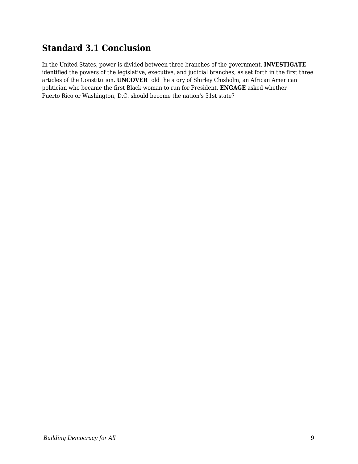## **Standard 3.1 Conclusion**

In the United States, power is divided between three branches of the government. **INVESTIGATE** identified the powers of the legislative, executive, and judicial branches, as set forth in the first three articles of the Constitution. **UNCOVER** told the story of Shirley Chisholm, an African American politician who became the first Black woman to run for President. **ENGAGE** asked whether Puerto Rico or Washington, D.C. should become the nation's 51st state?